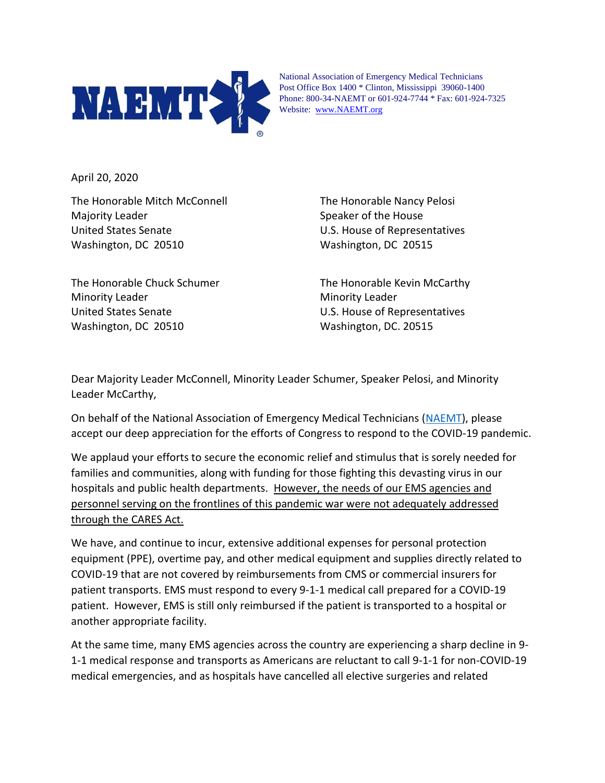

National Association of Emergency Medical Technicians Post Office Box 1400 \* Clinton, Mississippi 39060-1400 Phone: 800-34-NAEMT or 601-924-7744 \* Fax: 601-924-7325 Website: [www.NAEMT.org](http://www.naemt.org/)

April 20, 2020

The Honorable Mitch McConnell The Honorable Nancy Pelosi Majority Leader Speaker of the House Speaker of the House United States Senate U.S. House of Representatives Washington, DC 20510 Washington, DC 20515

Minority Leader **Minority Leader** Minority Leader United States Senate U.S. House of Representatives Washington, DC 20510 Washington, DC. 20515

The Honorable Chuck Schumer The Honorable Kevin McCarthy

Dear Majority Leader McConnell, Minority Leader Schumer, Speaker Pelosi, and Minority Leader McCarthy,

On behalf of the National Association of Emergency Medical Technicians [\(NAEMT\)](http://www.naemt.org/), please accept our deep appreciation for the efforts of Congress to respond to the COVID-19 pandemic.

We applaud your efforts to secure the economic relief and stimulus that is sorely needed for families and communities, along with funding for those fighting this devasting virus in our hospitals and public health departments. However, the needs of our EMS agencies and personnel serving on the frontlines of this pandemic war were not adequately addressed through the CARES Act.

We have, and continue to incur, extensive additional expenses for personal protection equipment (PPE), overtime pay, and other medical equipment and supplies directly related to COVID-19 that are not covered by reimbursements from CMS or commercial insurers for patient transports. EMS must respond to every 9-1-1 medical call prepared for a COVID-19 patient. However, EMS is still only reimbursed if the patient is transported to a hospital or another appropriate facility.

At the same time, many EMS agencies across the country are experiencing a sharp decline in 9- 1-1 medical response and transports as Americans are reluctant to call 9-1-1 for non-COVID-19 medical emergencies, and as hospitals have cancelled all elective surgeries and related